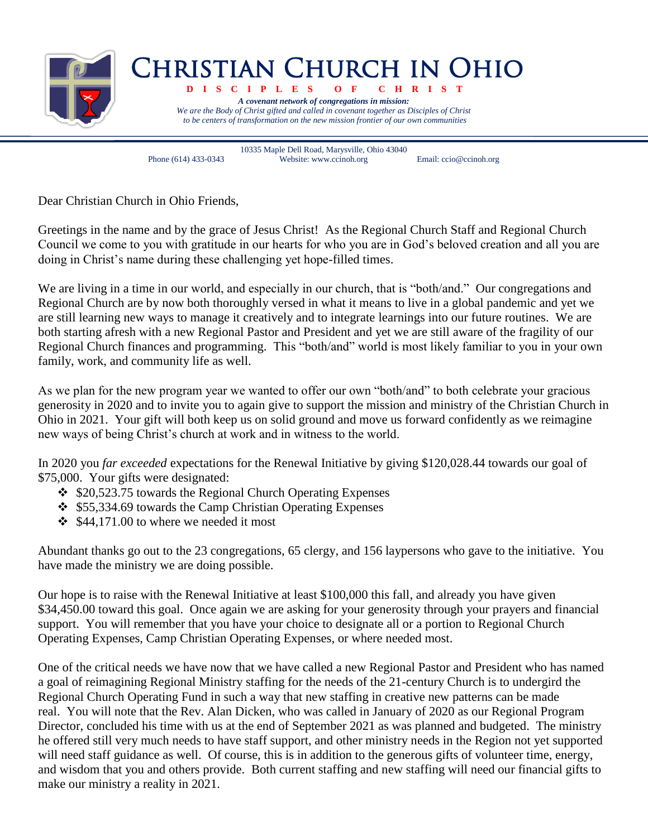

## Christian Church in Ohio

 **D I S C I P L E S O F C H R I S T** *A covenant network of congregations in mission: We are the Body of Christ gifted and called in covenant together as Disciples of Christ to be centers of transformation on the new mission frontier of our own communities*

10335 Maple Dell Road, Marysville, Ohio 43040 Phone (614) 433-0343 Website: www.ccinoh.org Email: ccio@ccinoh.org

Dear Christian Church in Ohio Friends,

Greetings in the name and by the grace of Jesus Christ! As the Regional Church Staff and Regional Church Council we come to you with gratitude in our hearts for who you are in God's beloved creation and all you are doing in Christ's name during these challenging yet hope-filled times.

We are living in a time in our world, and especially in our church, that is "both/and." Our congregations and Regional Church are by now both thoroughly versed in what it means to live in a global pandemic and yet we are still learning new ways to manage it creatively and to integrate learnings into our future routines. We are both starting afresh with a new Regional Pastor and President and yet we are still aware of the fragility of our Regional Church finances and programming. This "both/and" world is most likely familiar to you in your own family, work, and community life as well.

As we plan for the new program year we wanted to offer our own "both/and" to both celebrate your gracious generosity in 2020 and to invite you to again give to support the mission and ministry of the Christian Church in Ohio in 2021. Your gift will both keep us on solid ground and move us forward confidently as we reimagine new ways of being Christ's church at work and in witness to the world.

In 2020 you *far exceeded* expectations for the Renewal Initiative by giving \$120,028.44 towards our goal of \$75,000. Your gifts were designated:

- $\div$  \$20,523.75 towards the Regional Church Operating Expenses
- $\div$  \$55,334.69 towards the Camp Christian Operating Expenses
- $\div$  \$44,171.00 to where we needed it most

Abundant thanks go out to the 23 congregations, 65 clergy, and 156 laypersons who gave to the initiative. You have made the ministry we are doing possible.

Our hope is to raise with the Renewal Initiative at least \$100,000 this fall, and already you have given \$34,450.00 toward this goal. Once again we are asking for your generosity through your prayers and financial support. You will remember that you have your choice to designate all or a portion to Regional Church Operating Expenses, Camp Christian Operating Expenses, or where needed most.

One of the critical needs we have now that we have called a new Regional Pastor and President who has named a goal of reimagining Regional Ministry staffing for the needs of the 21-century Church is to undergird the Regional Church Operating Fund in such a way that new staffing in creative new patterns can be made real. You will note that the Rev. Alan Dicken, who was called in January of 2020 as our Regional Program Director, concluded his time with us at the end of September 2021 as was planned and budgeted. The ministry he offered still very much needs to have staff support, and other ministry needs in the Region not yet supported will need staff guidance as well. Of course, this is in addition to the generous gifts of volunteer time, energy, and wisdom that you and others provide. Both current staffing and new staffing will need our financial gifts to make our ministry a reality in 2021.